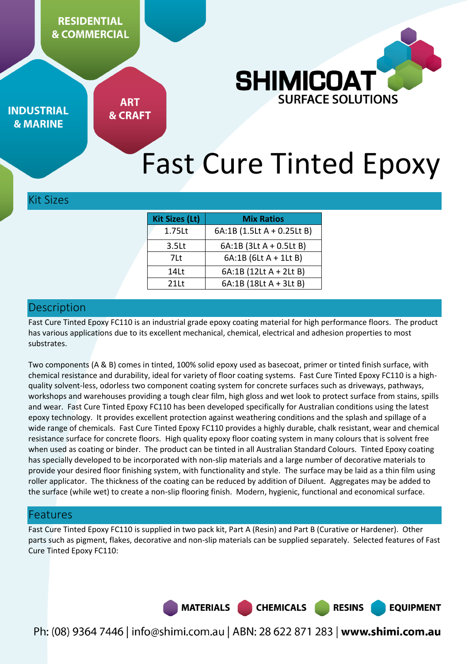

**INDUSTRIAL & MARINE** 

**ART & CRAFT** 

# Fast Cure Tinted Epoxy

## Kit Sizes

| <b>Kit Sizes (Lt)</b> | <b>Mix Ratios</b>          |
|-----------------------|----------------------------|
| 1.75Lt                | 6A:1B (1.5Lt A + 0.25Lt B) |
| 3.5 <sub>kt</sub>     | 6A:1B (3Lt A + 0.5Lt B)    |
| 7Lt                   | 6A:1B (6Lt A + 1Lt B)      |
| 14Lt                  | 6A:1B (12Lt A + 2Lt B)     |
| 211t                  | 6A:1B (18Lt A + 3Lt B)     |
|                       |                            |

## Description

Fast Cure Tinted Epoxy FC110 is an industrial grade epoxy coating material for high performance floors. The product has various applications due to its excellent mechanical, chemical, electrical and adhesion properties to most substrates.

Two components (A & B) comes in tinted, 100% solid epoxy used as basecoat, primer or tinted finish surface, with chemical resistance and durability, ideal for variety of floor coating systems. Fast Cure Tinted Epoxy FC110 is a highquality solvent-less, odorless two component coating system for concrete surfaces such as driveways, pathways, workshops and warehouses providing a tough clear film, high gloss and wet look to protect surface from stains, spills and wear. Fast Cure Tinted Epoxy FC110 has been developed specifically for Australian conditions using the latest epoxy technology. It provides excellent protection against weathering conditions and the splash and spillage of a wide range of chemicals. Fast Cure Tinted Epoxy FC110 provides a highly durable, chalk resistant, wear and chemical resistance surface for concrete floors. High quality epoxy floor coating system in many colours that is solvent free when used as coating or binder. The product can be tinted in all Australian Standard Colours. Tinted Epoxy coating has specially developed to be incorporated with non-slip materials and a large number of decorative materials to provide your desired floor finishing system, with functionality and style. The surface may be laid as a thin film using roller applicator. The thickness of the coating can be reduced by addition of Diluent. Aggregates may be added to the surface (while wet) to create a non-slip flooring finish. Modern, hygienic, functional and economical surface.

# Features

Fast Cure Tinted Epoxy FC110 is supplied in two pack kit, Part A (Resin) and Part B (Curative or Hardener). Other parts such as pigment, flakes, decorative and non-slip materials can be supplied separately. Selected features of Fast Cure Tinted Epoxy FC110:

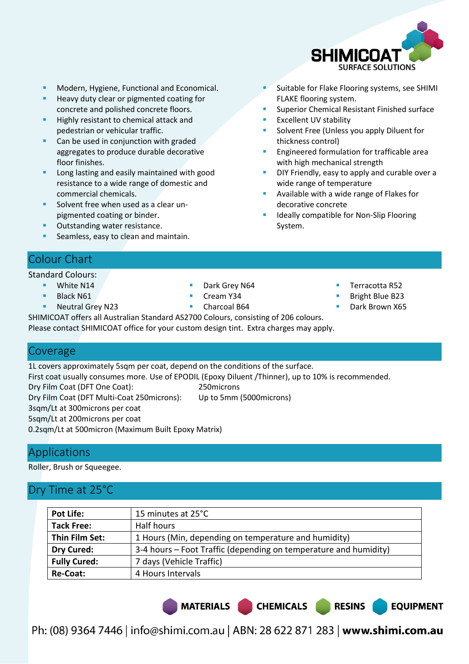

Suitable for Flake Flooring systems, see SHIMI

Superior Chemical Resistant Finished surface

Solvent Free (Unless you apply Diluent for

Engineered formulation for trafficable area

Available with a wide range of Flakes for

Ideally compatible for Non-Slip Flooring

DIY Friendly, easy to apply and curable over a

FLAKE flooring system.

Excellent UV stability

with high mechanical strength

wide range of temperature

decorative concrete

System.

thickness control)

- Modern, Hygiene, Functional and Economical.
- Heavy duty clear or pigmented coating for concrete and polished concrete floors.
- Highly resistant to chemical attack and pedestrian or vehicular traffic.
- Can be used in conjunction with graded aggregates to produce durable decorative floor finishes.
- Long lasting and easily maintained with good resistance to a wide range of domestic and commercial chemicals.
- Solvent free when used as a clear unpigmented coating or binder.
- Outstanding water resistance.
- Seamless, easy to clean and maintain.

# Colour Chart

Standard Colours:

- White N14
- Black N61
- Neutral Grey N23
- Dark Grey N64
- Cream Y34
- Charcoal B64
- Terracotta R52
- Bright Blue B23
- Dark Brown X65

**EQUIPMENT** 

SHIMICOAT offers all Australian Standard AS2700 Colours, consisting of 206 colours. Please contact SHIMICOAT office for your custom design tint. Extra charges may apply.

## Coverage

1L covers approximately 5sqm per coat, depend on the conditions of the surface. First coat usually consumes more. Use of EPODIL (Epoxy Diluent /Thinner), up to 10% is recommended. Dry Film Coat (DFT One Coat): 250microns Dry Film Coat (DFT Multi-Coat 250microns): Up to 5mm (5000microns) 3sqm/Lt at 300microns per coat 5sqm/Lt at 200microns per coat 0.2sqm/Lt at 500micron (Maximum Built Epoxy Matrix)

# Applications

Roller, Brush or Squeegee.

# Dry Time at 25°C

| <b>Pot Life:</b>    | 15 minutes at 25°C                                               |
|---------------------|------------------------------------------------------------------|
| <b>Tack Free:</b>   | Half hours                                                       |
| Thin Film Set:      | 1 Hours (Min, depending on temperature and humidity)             |
| <b>Dry Cured:</b>   | 3-4 hours – Foot Traffic (depending on temperature and humidity) |
| <b>Fully Cured:</b> | 7 days (Vehicle Traffic)                                         |
| Re-Coat:            | 4 Hours Intervals                                                |

MATERIALS CHEMICALS RESINS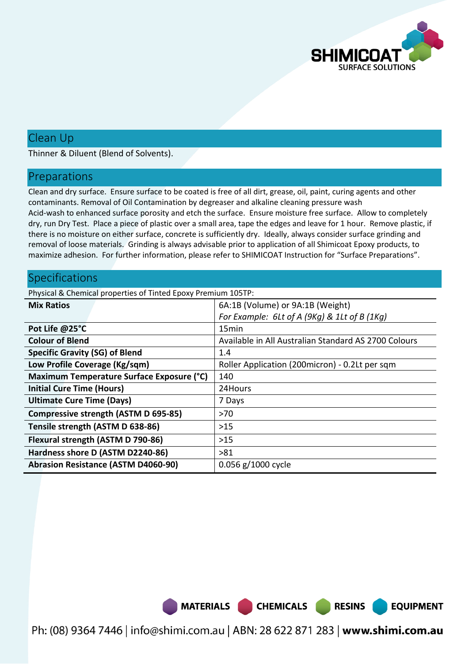

**EQUIPMENT** 

# Clean Up

Thinner & Diluent (Blend of Solvents).

#### Preparations

Clean and dry surface. Ensure surface to be coated is free of all dirt, grease, oil, paint, curing agents and other contaminants. Removal of Oil Contamination by degreaser and alkaline cleaning pressure wash Acid-wash to enhanced surface porosity and etch the surface. Ensure moisture free surface. Allow to completely dry, run Dry Test. Place a piece of plastic over a small area, tape the edges and leave for 1 hour. Remove plastic, if there is no moisture on either surface, concrete is sufficiently dry. Ideally, always consider surface grinding and removal of loose materials. Grinding is always advisable prior to application of all Shimicoat Epoxy products, to maximize adhesion. For further information, please refer to SHIMICOAT Instruction for "Surface Preparations".

### Specifications

Physical & Chemical properties of Tinted Epoxy Premium 105TP:

| <b>Mix Ratios</b>                          | 6A:1B (Volume) or 9A:1B (Weight)                     |
|--------------------------------------------|------------------------------------------------------|
|                                            | For Example: 6Lt of A (9Kg) & 1Lt of B (1Kg)         |
| Pot Life @25°C                             | 15 <sub>min</sub>                                    |
| <b>Colour of Blend</b>                     | Available in All Australian Standard AS 2700 Colours |
| <b>Specific Gravity (SG) of Blend</b>      | 1.4                                                  |
| Low Profile Coverage (Kg/sqm)              | Roller Application (200micron) - 0.2Lt per sqm       |
| Maximum Temperature Surface Exposure (°C)  | 140                                                  |
| <b>Initial Cure Time (Hours)</b>           | 24Hours                                              |
| <b>Ultimate Cure Time (Days)</b>           | 7 Days                                               |
| Compressive strength (ASTM D 695-85)       | $>70$                                                |
| Tensile strength (ASTM D 638-86)           | $>15$                                                |
| Flexural strength (ASTM D 790-86)          | $>15$                                                |
| Hardness shore D (ASTM D2240-86)           | >81                                                  |
| <b>Abrasion Resistance (ASTM D4060-90)</b> | 0.056 g/1000 cycle                                   |

MATERIALS CHEMICALS RESINS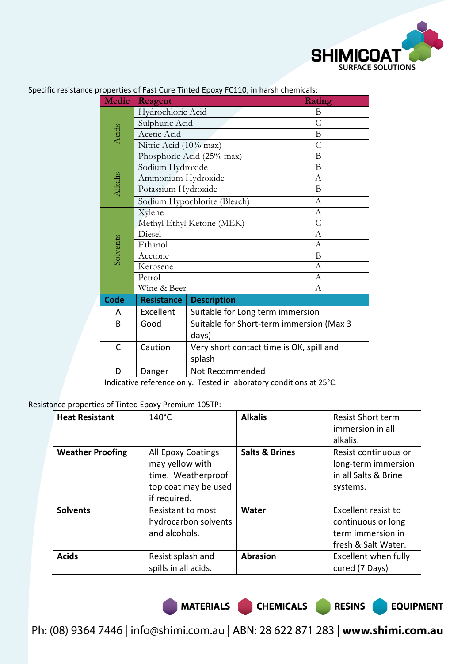

| <b>Medie</b>                 | Reagent                                                             |                                          | Rating           |  |
|------------------------------|---------------------------------------------------------------------|------------------------------------------|------------------|--|
|                              | Hydrochloric Acid                                                   |                                          | B                |  |
|                              | Sulphuric Acid                                                      |                                          | $\overline{C}$   |  |
| Acids                        | Acetic Acid                                                         |                                          | $\mathbf B$      |  |
|                              | Nitric Acid (10% max)                                               |                                          | $\mathcal{C}$    |  |
|                              | Phosphoric Acid (25% max)                                           |                                          | B                |  |
| Sodium Hydroxide             |                                                                     |                                          | $\mathbf B$      |  |
|                              | Ammonium Hydroxide                                                  |                                          | $\boldsymbol{A}$ |  |
| Alkalis                      | Potassium Hydroxide                                                 |                                          | B                |  |
| Sodium Hypochlorite (Bleach) |                                                                     |                                          | $\mathbf{A}$     |  |
|                              | Xylene                                                              |                                          | $\boldsymbol{A}$ |  |
|                              | Methyl Ethyl Ketone (MEK)                                           |                                          | $\overline{C}$   |  |
|                              | Diesel                                                              |                                          | $\mathbf{A}$     |  |
| Solvents                     | Ethanol                                                             |                                          | $\mathbf{A}$     |  |
|                              | Acetone                                                             |                                          | B                |  |
|                              | Kerosene                                                            |                                          | $\boldsymbol{A}$ |  |
|                              | Petrol                                                              |                                          | $\mathbf{A}$     |  |
|                              | Wine & Beer                                                         |                                          | $\boldsymbol{A}$ |  |
| Code                         | <b>Resistance</b>                                                   | <b>Description</b>                       |                  |  |
| Α                            | Excellent                                                           | Suitable for Long term immersion         |                  |  |
| B                            | Good                                                                | Suitable for Short-term immersion (Max 3 |                  |  |
|                              |                                                                     | days)                                    |                  |  |
| C                            | Caution                                                             | Very short contact time is OK, spill and |                  |  |
|                              | splash                                                              |                                          |                  |  |
| D                            | Danger                                                              | Not Recommended                          |                  |  |
|                              | Indicative reference only. Tested in laboratory conditions at 25°C. |                                          |                  |  |

Specific resistance properties of Fast Cure Tinted Epoxy FC110, in harsh chemicals:

Resistance properties of Tinted Epoxy Premium 105TP:

| <b>Heat Resistant</b>   | $140^{\circ}$ C                                                                                     | <b>Alkalis</b>            | <b>Resist Short term</b><br>immersion in all<br>alkalis.                              |
|-------------------------|-----------------------------------------------------------------------------------------------------|---------------------------|---------------------------------------------------------------------------------------|
| <b>Weather Proofing</b> | All Epoxy Coatings<br>may yellow with<br>time. Weatherproof<br>top coat may be used<br>if required. | <b>Salts &amp; Brines</b> | Resist continuous or<br>long-term immersion<br>in all Salts & Brine<br>systems.       |
| <b>Solvents</b>         | Resistant to most<br>hydrocarbon solvents<br>and alcohols.                                          | Water                     | Excellent resist to<br>continuous or long<br>term immersion in<br>fresh & Salt Water. |
| <b>Acids</b>            | Resist splash and<br>spills in all acids.                                                           | <b>Abrasion</b>           | Excellent when fully<br>cured (7 Days)                                                |

MATERIALS CHEMICALS RESINS

**EQUIPMENT**